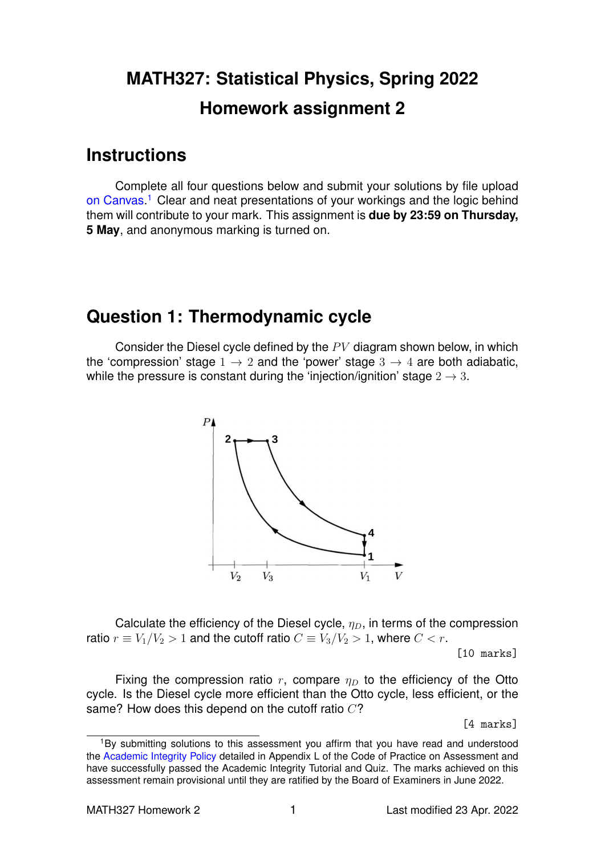# **MATH327: Statistical Physics, Spring 2022 Homework assignment 2**

### **Instructions**

Complete all four questions below and submit your solutions by file upload [on Canvas.](https://liverpool.instructure.com/courses/47333/assignments/178544)<sup>[1](#page-0-0)</sup> Clear and neat presentations of your workings and the logic behind them will contribute to your mark. This assignment is **due by 23:59 on Thursday, 5 May**, and anonymous marking is turned on.

# **Question 1: Thermodynamic cycle**

Consider the Diesel cycle defined by the  $PV$  diagram shown below, in which the 'compression' stage  $1 \rightarrow 2$  and the 'power' stage  $3 \rightarrow 4$  are both adiabatic, while the pressure is constant during the 'injection/ignition' stage  $2 \rightarrow 3$ .



Calculate the efficiency of the Diesel cycle,  $\eta_D$ , in terms of the compression ratio  $r \equiv V_1/V_2 > 1$  and the cutoff ratio  $C \equiv V_3/V_2 > 1$ , where  $C < r$ .

[10 marks]

Fixing the compression ratio r, compare  $\eta_D$  to the efficiency of the Otto cycle. Is the Diesel cycle more efficient than the Otto cycle, less efficient, or the same? How does this depend on the cutoff ratio  $C$ ?

[4 marks]

<span id="page-0-0"></span><sup>&</sup>lt;sup>1</sup>By submitting solutions to this assessment you affirm that you have read and understood the [Academic Integrity Policy](https://www.liverpool.ac.uk/media/livacuk/tqsd/code-of-practice-on-assessment/appendix_L_cop_assess.pdf) detailed in Appendix L of the Code of Practice on Assessment and have successfully passed the Academic Integrity Tutorial and Quiz. The marks achieved on this assessment remain provisional until they are ratified by the Board of Examiners in June 2022.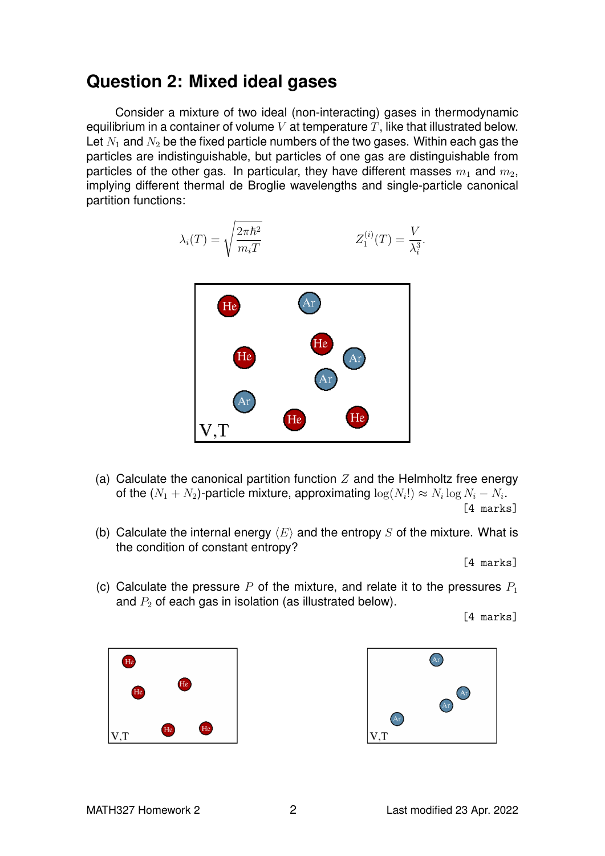## **Question 2: Mixed ideal gases**

Consider a mixture of two ideal (non-interacting) gases in thermodynamic equilibrium in a container of volume  $V$  at temperature  $T$ , like that illustrated below. Let  $N_1$  and  $N_2$  be the fixed particle numbers of the two gases. Within each gas the particles are indistinguishable, but particles of one gas are distinguishable from particles of the other gas. In particular, they have different masses  $m_1$  and  $m_2$ , implying different thermal de Broglie wavelengths and single-particle canonical partition functions:

$$
\lambda_i(T) = \sqrt{\frac{2\pi\hbar^2}{m_i T}} \qquad Z_1^{(i)}(T) = \frac{V}{\lambda_i^3}.
$$



- (a) Calculate the canonical partition function  $Z$  and the Helmholtz free energy of the  $(N_1+N_2)$ -particle mixture, approximating  $\log(N_i!) \approx N_i \log N_i - N_i.$ [4 marks]
- (b) Calculate the internal energy  $\langle E \rangle$  and the entropy S of the mixture. What is the condition of constant entropy?

[4 marks]

(c) Calculate the pressure P of the mixture, and relate it to the pressures  $P_1$ and  $P_2$  of each gas in isolation (as illustrated below).

[4 marks]



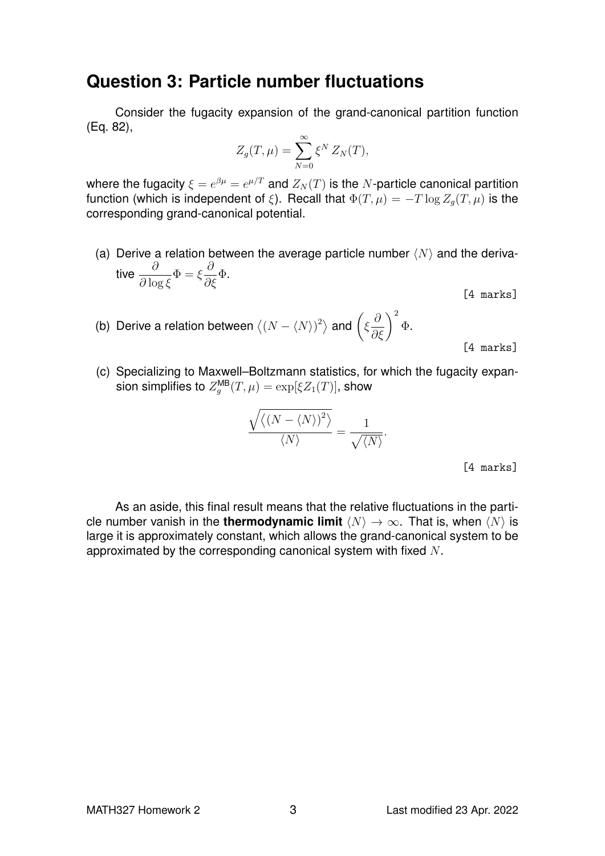### **Question 3: Particle number fluctuations**

Consider the fugacity expansion of the grand-canonical partition function (Eq. 82),

$$
Z_g(T,\mu) = \sum_{N=0}^{\infty} \xi^N Z_N(T),
$$

where the fugacity  $\xi=e^{\beta\mu}=e^{\mu/T}$  and  $Z_N(T)$  is the  $N$ -particle canonical partition function (which is independent of ξ). Recall that  $\Phi(T,\mu) = -T \log Z_q(T,\mu)$  is the corresponding grand-canonical potential.

- (a) Derive a relation between the average particle number  $\langle N \rangle$  and the derivative  $\frac{\partial}{\partial \mathbf{I}}$  $\partial \log \xi$  $\Phi = \xi$  $\partial$  $\frac{\delta}{\partial \xi} \Phi$ .
	- [4 marks]
- (b) Derive a relation between  $\langle (N \langle N \rangle)^2 \rangle$  and  $\Big( \xi$  $\left(\frac{\partial}{\partial \xi}\right)^2$ Φ.

[4 marks]

(c) Specializing to Maxwell–Boltzmann statistics, for which the fugacity expansion simplifies to  $Z_g^{\sf MB}(T,\mu)=\exp[\xi Z_1(T)],$  show

$$
\frac{\sqrt{\langle (N-\langle N\rangle)^2\rangle}}{\langle N\rangle} = \frac{1}{\sqrt{\langle N\rangle}}.
$$

[4 marks]

As an aside, this final result means that the relative fluctuations in the particle number vanish in the **thermodynamic limit**  $\langle N \rangle \rightarrow \infty$ . That is, when  $\langle N \rangle$  is large it is approximately constant, which allows the grand-canonical system to be approximated by the corresponding canonical system with fixed  $N$ .